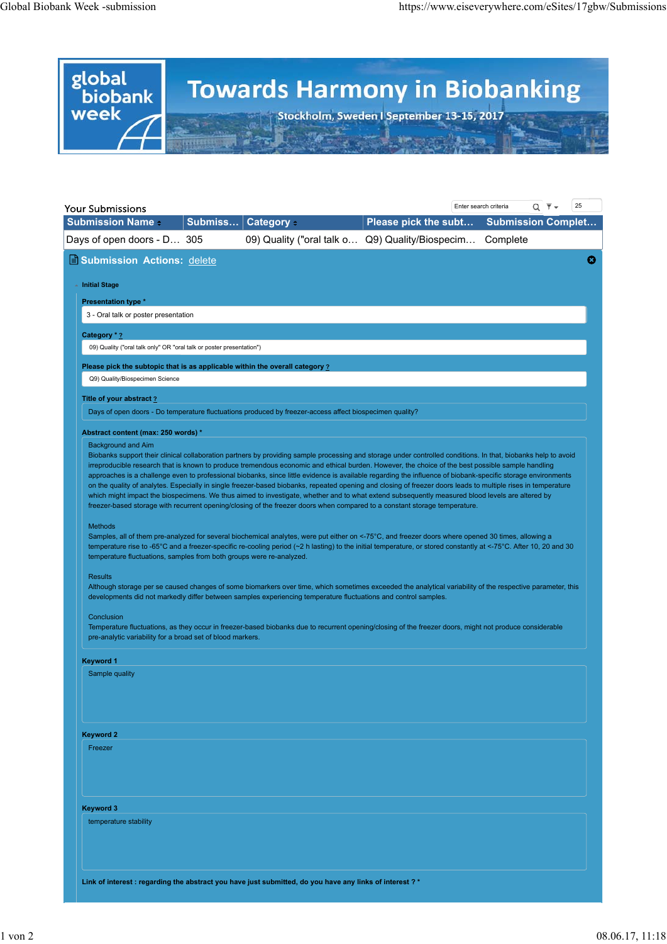

| 25<br>$Q$ $\bar{\tau}$ $\sim$<br>Enter search criteria<br>Your Submissions                                                                                                                                                                                                                                                                                                                        |  |                                                                                                                                                                                                                                                                                                                                                                                                                                                                                                                                                                                                                                                                                                                                                                                                                                                                                                                                                                                                                                                                                                                                                                                                                                                                                                                                                                                                                                                                                                                                                   |                                                 |                           |   |
|---------------------------------------------------------------------------------------------------------------------------------------------------------------------------------------------------------------------------------------------------------------------------------------------------------------------------------------------------------------------------------------------------|--|---------------------------------------------------------------------------------------------------------------------------------------------------------------------------------------------------------------------------------------------------------------------------------------------------------------------------------------------------------------------------------------------------------------------------------------------------------------------------------------------------------------------------------------------------------------------------------------------------------------------------------------------------------------------------------------------------------------------------------------------------------------------------------------------------------------------------------------------------------------------------------------------------------------------------------------------------------------------------------------------------------------------------------------------------------------------------------------------------------------------------------------------------------------------------------------------------------------------------------------------------------------------------------------------------------------------------------------------------------------------------------------------------------------------------------------------------------------------------------------------------------------------------------------------------|-------------------------------------------------|---------------------------|---|
| <b>Submission Name -</b>                                                                                                                                                                                                                                                                                                                                                                          |  | Submiss Category +                                                                                                                                                                                                                                                                                                                                                                                                                                                                                                                                                                                                                                                                                                                                                                                                                                                                                                                                                                                                                                                                                                                                                                                                                                                                                                                                                                                                                                                                                                                                | Please pick the subt                            | <b>Submission Complet</b> |   |
| Days of open doors - D 305                                                                                                                                                                                                                                                                                                                                                                        |  |                                                                                                                                                                                                                                                                                                                                                                                                                                                                                                                                                                                                                                                                                                                                                                                                                                                                                                                                                                                                                                                                                                                                                                                                                                                                                                                                                                                                                                                                                                                                                   | 09) Quality ("oral talk o Q9) Quality/Biospecim | Complete                  |   |
| Submission Actions: delete<br>▲ Initial Stage<br><b>Presentation type *</b><br>3 - Oral talk or poster presentation<br>Category * ?<br>09) Quality ("oral talk only" OR "oral talk or poster presentation")<br>Please pick the subtopic that is as applicable within the overall category ?<br>Q9) Quality/Biospecimen Science<br>Title of your abstract ?<br>Abstract content (max: 250 words) * |  | Days of open doors - Do temperature fluctuations produced by freezer-access affect biospecimen quality?                                                                                                                                                                                                                                                                                                                                                                                                                                                                                                                                                                                                                                                                                                                                                                                                                                                                                                                                                                                                                                                                                                                                                                                                                                                                                                                                                                                                                                           |                                                 |                           | Ø |
| <b>Background and Aim</b><br><b>Methods</b><br>temperature fluctuations, samples from both groups were re-analyzed.<br>Results                                                                                                                                                                                                                                                                    |  | Biobanks support their clinical collaboration partners by providing sample processing and storage under controlled conditions. In that, biobanks help to avoid<br>irreproducible research that is known to produce tremendous economic and ethical burden. However, the choice of the best possible sample handling<br>approaches is a challenge even to professional biobanks, since little evidence is available regarding the influence of biobank-specific storage environments<br>on the quality of analytes. Especially in single freezer-based biobanks, repeated opening and closing of freezer doors leads to multiple rises in temperature<br>which might impact the biospecimens. We thus aimed to investigate, whether and to what extend subsequently measured blood levels are altered by<br>freezer-based storage with recurrent opening/closing of the freezer doors when compared to a constant storage temperature.<br>Samples, all of them pre-analyzed for several biochemical analytes, were put either on <-75°C, and freezer doors where opened 30 times, allowing a<br>temperature rise to -65°C and a freezer-specific re-cooling period (~2 h lasting) to the initial temperature, or stored constantly at <-75°C. After 10, 20 and 30<br>Although storage per se caused changes of some biomarkers over time, which sometimes exceeded the analytical variability of the respective parameter, this<br>developments did not markedly differ between samples experiencing temperature fluctuations and control samples. |                                                 |                           |   |
| Conclusion<br>pre-analytic variability for a broad set of blood markers.                                                                                                                                                                                                                                                                                                                          |  | Temperature fluctuations, as they occur in freezer-based biobanks due to recurrent opening/closing of the freezer doors, might not produce considerable                                                                                                                                                                                                                                                                                                                                                                                                                                                                                                                                                                                                                                                                                                                                                                                                                                                                                                                                                                                                                                                                                                                                                                                                                                                                                                                                                                                           |                                                 |                           |   |
| <b>Keyword 1</b><br>Sample quality                                                                                                                                                                                                                                                                                                                                                                |  |                                                                                                                                                                                                                                                                                                                                                                                                                                                                                                                                                                                                                                                                                                                                                                                                                                                                                                                                                                                                                                                                                                                                                                                                                                                                                                                                                                                                                                                                                                                                                   |                                                 |                           |   |
| <b>Keyword 2</b>                                                                                                                                                                                                                                                                                                                                                                                  |  |                                                                                                                                                                                                                                                                                                                                                                                                                                                                                                                                                                                                                                                                                                                                                                                                                                                                                                                                                                                                                                                                                                                                                                                                                                                                                                                                                                                                                                                                                                                                                   |                                                 |                           |   |
| Freezer                                                                                                                                                                                                                                                                                                                                                                                           |  |                                                                                                                                                                                                                                                                                                                                                                                                                                                                                                                                                                                                                                                                                                                                                                                                                                                                                                                                                                                                                                                                                                                                                                                                                                                                                                                                                                                                                                                                                                                                                   |                                                 |                           |   |
| <b>Keyword 3</b>                                                                                                                                                                                                                                                                                                                                                                                  |  |                                                                                                                                                                                                                                                                                                                                                                                                                                                                                                                                                                                                                                                                                                                                                                                                                                                                                                                                                                                                                                                                                                                                                                                                                                                                                                                                                                                                                                                                                                                                                   |                                                 |                           |   |
| temperature stability                                                                                                                                                                                                                                                                                                                                                                             |  |                                                                                                                                                                                                                                                                                                                                                                                                                                                                                                                                                                                                                                                                                                                                                                                                                                                                                                                                                                                                                                                                                                                                                                                                                                                                                                                                                                                                                                                                                                                                                   |                                                 |                           |   |
|                                                                                                                                                                                                                                                                                                                                                                                                   |  | Link of interest : regarding the abstract you have just submitted, do you have any links of interest ? *                                                                                                                                                                                                                                                                                                                                                                                                                                                                                                                                                                                                                                                                                                                                                                                                                                                                                                                                                                                                                                                                                                                                                                                                                                                                                                                                                                                                                                          |                                                 |                           |   |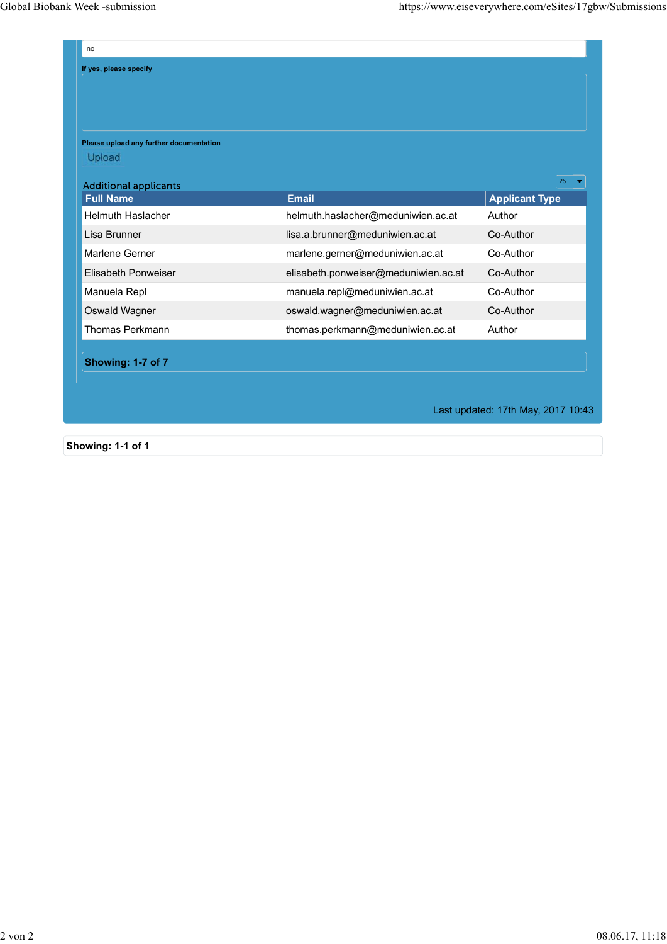| no                                      |                                      |                       |  |  |  |  |
|-----------------------------------------|--------------------------------------|-----------------------|--|--|--|--|
| If yes, please specify                  |                                      |                       |  |  |  |  |
|                                         |                                      |                       |  |  |  |  |
|                                         |                                      |                       |  |  |  |  |
|                                         |                                      |                       |  |  |  |  |
| Please upload any further documentation |                                      |                       |  |  |  |  |
| Upload                                  |                                      |                       |  |  |  |  |
| <b>Additional applicants</b>            |                                      | 25                    |  |  |  |  |
| <b>Full Name</b>                        | <b>Email</b>                         | <b>Applicant Type</b> |  |  |  |  |
| <b>Helmuth Haslacher</b>                | helmuth.haslacher@meduniwien.ac.at   | Author                |  |  |  |  |
| Lisa Brunner                            | lisa.a.brunner@meduniwien.ac.at      | Co-Author             |  |  |  |  |
| Marlene Gerner                          | marlene.gerner@meduniwien.ac.at      | Co-Author             |  |  |  |  |
| Elisabeth Ponweiser                     | elisabeth.ponweiser@meduniwien.ac.at | Co-Author             |  |  |  |  |
| Manuela Repl                            | manuela.repl@meduniwien.ac.at        | Co-Author             |  |  |  |  |
| Oswald Wagner                           | oswald.wagner@meduniwien.ac.at       | Co-Author             |  |  |  |  |
| Thomas Perkmann                         | thomas.perkmann@meduniwien.ac.at     | Author                |  |  |  |  |
|                                         |                                      |                       |  |  |  |  |
| Showing: 1-7 of 7                       |                                      |                       |  |  |  |  |
|                                         |                                      |                       |  |  |  |  |
|                                         |                                      |                       |  |  |  |  |

Last updated: 17th May, 2017 10:43

**Showing: 1-1 of 1**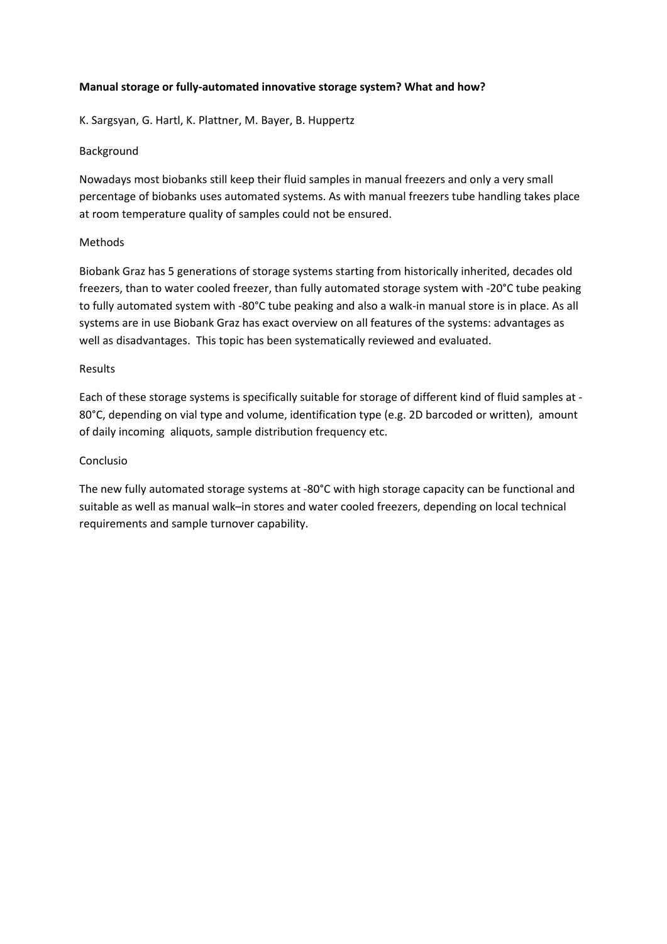# **Manual storage or fully-automated innovative storage system? What and how?**

K. Sargsyan, G. Hartl, K. Plattner, M. Bayer, B. Huppertz

# Background

Nowadays most biobanks still keep their fluid samples in manual freezers and only a very small percentage of biobanks uses automated systems. As with manual freezers tube handling takes place at room temperature quality of samples could not be ensured.

## Methods

Biobank Graz has 5 generations of storage systems starting from historically inherited, decades old freezers, than to water cooled freezer, than fully automated storage system with -20°C tube peaking to fully automated system with -80°C tube peaking and also a walk-in manual store is in place. As all systems are in use Biobank Graz has exact overview on all features of the systems: advantages as well as disadvantages. This topic has been systematically reviewed and evaluated.

# Results

Each of these storage systems is specifically suitable for storage of different kind of fluid samples at - 80°C, depending on vial type and volume, identification type (e.g. 2D barcoded or written), amount of daily incoming aliquots, sample distribution frequency etc.

# Conclusio

The new fully automated storage systems at -80°C with high storage capacity can be functional and suitable as well as manual walk–in stores and water cooled freezers, depending on local technical requirements and sample turnover capability.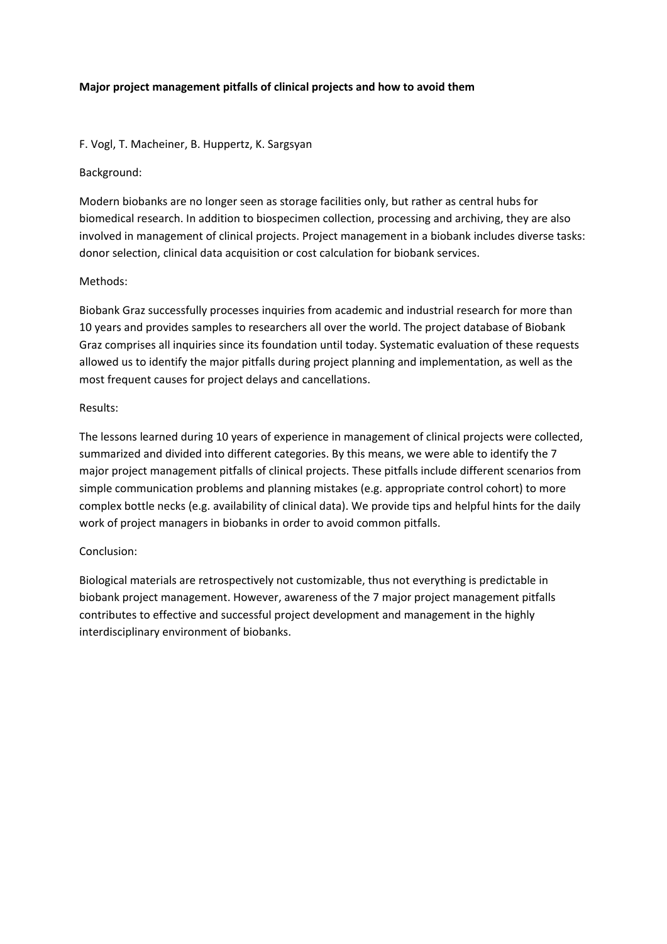# **Major project management pitfalls of clinical projects and how to avoid them**

# F. Vogl, T. Macheiner, B. Huppertz, K. Sargsyan

Background:

Modern biobanks are no longer seen as storage facilities only, but rather as central hubs for biomedical research. In addition to biospecimen collection, processing and archiving, they are also involved in management of clinical projects. Project management in a biobank includes diverse tasks: donor selection, clinical data acquisition or cost calculation for biobank services.

# Methods:

Biobank Graz successfully processes inquiries from academic and industrial research for more than 10 years and provides samples to researchers all over the world. The project database of Biobank Graz comprises all inquiries since its foundation until today. Systematic evaluation of these requests allowed us to identify the major pitfalls during project planning and implementation, as well as the most frequent causes for project delays and cancellations.

### Results:

The lessons learned during 10 years of experience in management of clinical projects were collected, summarized and divided into different categories. By this means, we were able to identify the 7 major project management pitfalls of clinical projects. These pitfalls include different scenarios from simple communication problems and planning mistakes (e.g. appropriate control cohort) to more complex bottle necks (e.g. availability of clinical data). We provide tips and helpful hints for the daily work of project managers in biobanks in order to avoid common pitfalls.

### Conclusion:

Biological materials are retrospectively not customizable, thus not everything is predictable in biobank project management. However, awareness of the 7 major project management pitfalls contributes to effective and successful project development and management in the highly interdisciplinary environment of biobanks.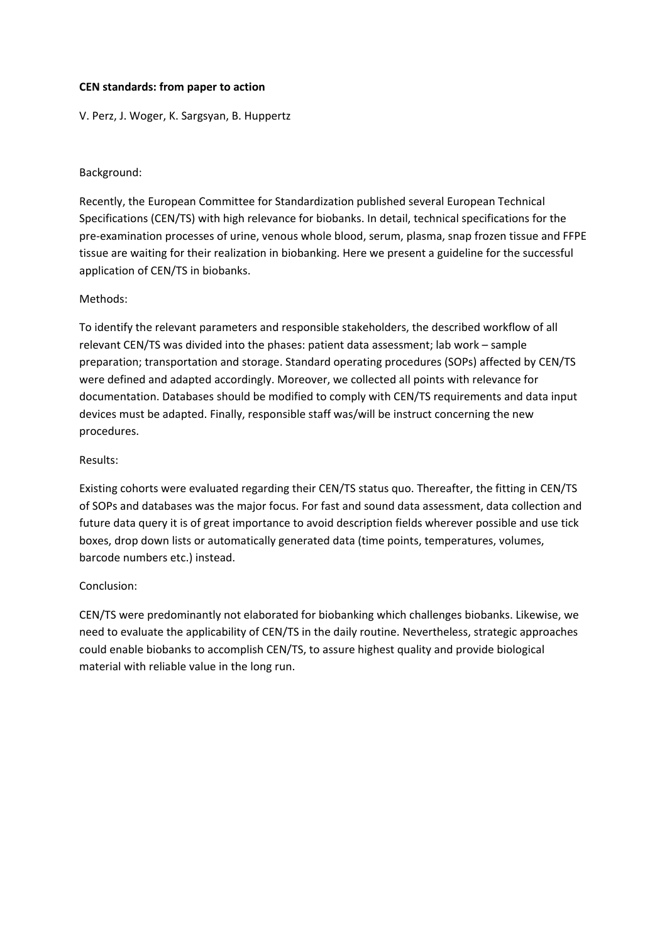#### **CEN standards: from paper to action**

V. Perz, J. Woger, K. Sargsyan, B. Huppertz

#### Background:

Recently, the European Committee for Standardization published several European Technical Specifications (CEN/TS) with high relevance for biobanks. In detail, technical specifications for the pre-examination processes of urine, venous whole blood, serum, plasma, snap frozen tissue and FFPE tissue are waiting for their realization in biobanking. Here we present a guideline for the successful application of CEN/TS in biobanks.

#### Methods:

To identify the relevant parameters and responsible stakeholders, the described workflow of all relevant CEN/TS was divided into the phases: patient data assessment; lab work – sample preparation; transportation and storage. Standard operating procedures (SOPs) affected by CEN/TS were defined and adapted accordingly. Moreover, we collected all points with relevance for documentation. Databases should be modified to comply with CEN/TS requirements and data input devices must be adapted. Finally, responsible staff was/will be instruct concerning the new procedures.

#### Results:

Existing cohorts were evaluated regarding their CEN/TS status quo. Thereafter, the fitting in CEN/TS of SOPs and databases was the major focus. For fast and sound data assessment, data collection and future data query it is of great importance to avoid description fields wherever possible and use tick boxes, drop down lists or automatically generated data (time points, temperatures, volumes, barcode numbers etc.) instead.

#### Conclusion:

CEN/TS were predominantly not elaborated for biobanking which challenges biobanks. Likewise, we need to evaluate the applicability of CEN/TS in the daily routine. Nevertheless, strategic approaches could enable biobanks to accomplish CEN/TS, to assure highest quality and provide biological material with reliable value in the long run.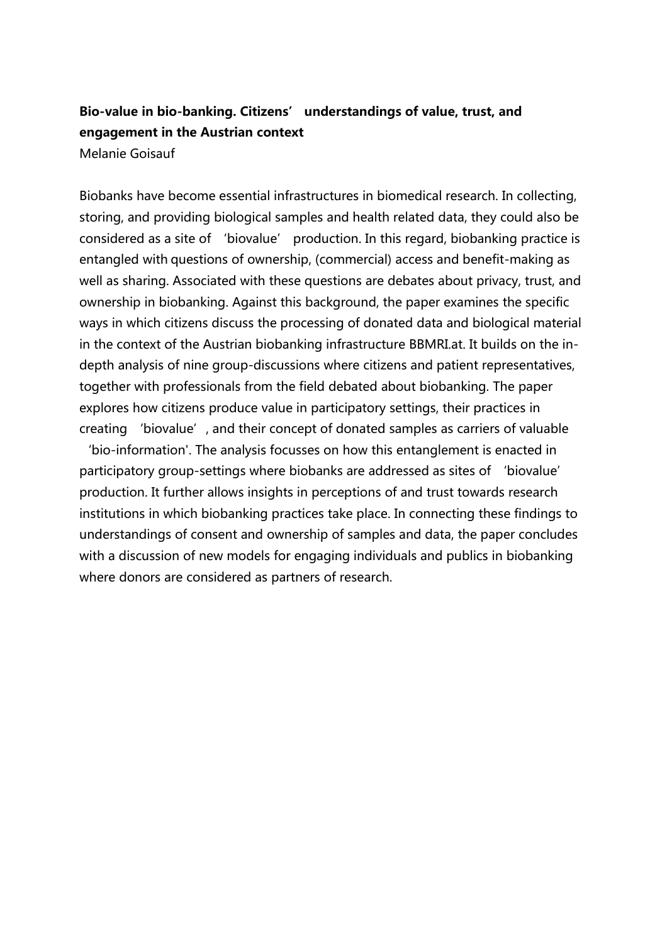# **Bio-value in bio-banking. Citizens' understandings of value, trust, and engagement in the Austrian context**

Melanie Goisauf

Biobanks have become essential infrastructures in biomedical research. In collecting, storing, and providing biological samples and health related data, they could also be considered as a site of 'biovalue' production. In this regard, biobanking practice is entangled with questions of ownership, (commercial) access and benefit-making as well as sharing. Associated with these questions are debates about privacy, trust, and ownership in biobanking. Against this background, the paper examines the specific ways in which citizens discuss the processing of donated data and biological material in the context of the Austrian biobanking infrastructure BBMRI.at. It builds on the indepth analysis of nine group-discussions where citizens and patient representatives, together with professionals from the field debated about biobanking. The paper explores how citizens produce value in participatory settings, their practices in creating 'biovalue', and their concept of donated samples as carriers of valuable

'bio-information'. The analysis focusses on how this entanglement is enacted in participatory group-settings where biobanks are addressed as sites of 'biovalue' production. It further allows insights in perceptions of and trust towards research institutions in which biobanking practices take place. In connecting these findings to understandings of consent and ownership of samples and data, the paper concludes with a discussion of new models for engaging individuals and publics in biobanking where donors are considered as partners of research.